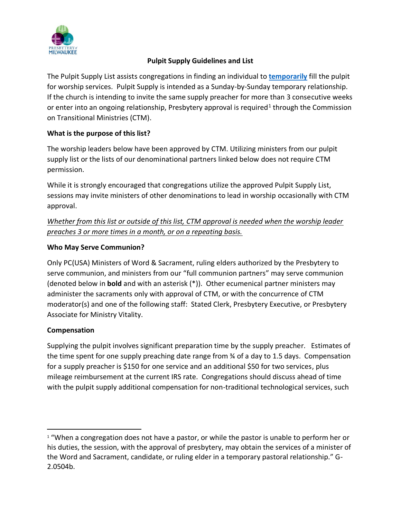

## **Pulpit Supply Guidelines and List**

The Pulpit Supply List assists congregations in finding an individual to **temporarily** fill the pulpit for worship services. Pulpit Supply is intended as a Sunday-by-Sunday temporary relationship. If the church is intending to invite the same supply preacher for more than 3 consecutive weeks or enter into an ongoing relationship, Presbytery approval is required<sup>1</sup> through the Commission on Transitional Ministries (CTM).

### **What is the purpose of this list?**

The worship leaders below have been approved by CTM. Utilizing ministers from our pulpit supply list or the lists of our denominational partners linked below does not require CTM permission.

While it is strongly encouraged that congregations utilize the approved Pulpit Supply List, sessions may invite ministers of other denominations to lead in worship occasionally with CTM approval.

*Whether from this list or outside of this list, CTM approval is needed when the worship leader preaches 3 or more times in a month, or on a repeating basis.* 

### **Who May Serve Communion?**

Only PC(USA) Ministers of Word & Sacrament, ruling elders authorized by the Presbytery to serve communion, and ministers from our "full communion partners" may serve communion (denoted below in **bold** and with an asterisk (\*)). Other ecumenical partner ministers may administer the sacraments only with approval of CTM, or with the concurrence of CTM moderator(s) and one of the following staff: Stated Clerk, Presbytery Executive, or Presbytery Associate for Ministry Vitality.

#### **Compensation**

Supplying the pulpit involves significant preparation time by the supply preacher. Estimates of the time spent for one supply preaching date range from ¾ of a day to 1.5 days. Compensation for a supply preacher is \$150 for one service and an additional \$50 for two services, plus mileage reimbursement at the current IRS rate. Congregations should discuss ahead of time with the pulpit supply additional compensation for non-traditional technological services, such

 $1$  "When a congregation does not have a pastor, or while the pastor is unable to perform her or his duties, the session, with the approval of presbytery, may obtain the services of a minister of the Word and Sacrament, candidate, or ruling elder in a temporary pastoral relationship." G-2.0504b.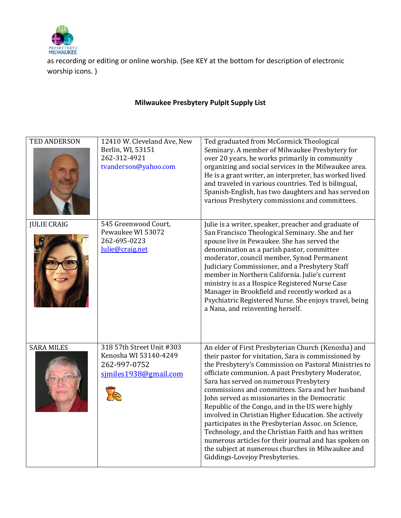

as recording or editing or online worship. (See KEY at the bottom for description of electronic worship icons. )

# **Milwaukee Presbytery Pulpit Supply List**

| <b>TED ANDERSON</b> | 12410 W. Cleveland Ave, New<br>Berlin, WI, 53151<br>262-312-4921<br>tvanderson@yahoo.com    | Ted graduated from McCormick Theological<br>Seminary. A member of Milwaukee Presbytery for<br>over 20 years, he works primarily in community<br>organizing and social services in the Milwaukee area.<br>He is a grant writer, an interpreter, has worked lived<br>and traveled in various countries. Ted is bilingual,<br>Spanish-English, has two daughters and has served on<br>various Presbytery commissions and committees.                                                                                                                                                                                                                                                                                                                  |
|---------------------|---------------------------------------------------------------------------------------------|----------------------------------------------------------------------------------------------------------------------------------------------------------------------------------------------------------------------------------------------------------------------------------------------------------------------------------------------------------------------------------------------------------------------------------------------------------------------------------------------------------------------------------------------------------------------------------------------------------------------------------------------------------------------------------------------------------------------------------------------------|
| <b>JULIE CRAIG</b>  | 545 Greenwood Court,<br>Pewaukee WI 53072<br>262-695-0223<br>Julie@craig.net                | Julie is a writer, speaker, preacher and graduate of<br>San Francisco Theological Seminary. She and her<br>spouse live in Pewaukee. She has served the<br>denomination as a parish pastor, committee<br>moderator, council member, Synod Permanent<br>Judiciary Commissioner, and a Presbytery Staff<br>member in Northern California. Julie's current<br>ministry is as a Hospice Registered Nurse Case<br>Manager in Brookfield and recently worked as a<br>Psychiatric Registered Nurse. She enjoys travel, being<br>a Nana, and reinventing herself.                                                                                                                                                                                           |
| <b>SARA MILES</b>   | 318 57th Street Unit #303<br>Kenosha WI 53140-4249<br>262-997-0752<br>similes1938@gmail.com | An elder of First Presbyterian Church (Kenosha) and<br>their pastor for visitation, Sara is commissioned by<br>the Presbytery's Commission on Pastoral Ministries to<br>officiate communion. A past Presbytery Moderator,<br>Sara has served on numerous Presbytery<br>commissions and committees. Sara and her husband<br>John served as missionaries in the Democratic<br>Republic of the Congo, and in the US were highly<br>involved in Christian Higher Education. She actively<br>participates in the Presbyterian Assoc. on Science,<br>Technology, and the Christian Faith and has written<br>numerous articles for their journal and has spoken on<br>the subject at numerous churches in Milwaukee and<br>Giddings-Lovejoy Presbyteries. |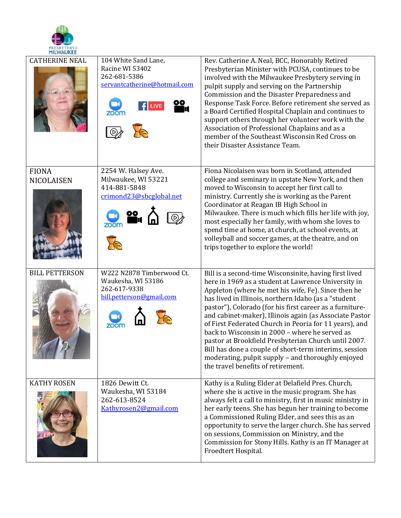

| <b>CATHERINE NEAL</b>      | 104 White Sand Lane,<br>Racine WI 53402<br>262-681-5386<br>servantcatherine@hotmail.com<br><u>00</u> | Rev. Catherine A. Neal, BCC, Honorably Retired<br>Presbyterian Minister with PCUSA, continues to be<br>involved with the Milwaukee Presbytery serving in<br>pulpit supply and serving on the Partnership<br>Commission and the Disaster Preparedness and<br>Response Task Force. Before retirement she served as<br>a Board Certified Hospital Chaplain and continues to<br>support others through her volunteer work with the<br>Association of Professional Chaplains and as a<br>member of the Southeast Wisconsin Red Cross on<br>their Disaster Assistance Team.                                                                                                         |
|----------------------------|------------------------------------------------------------------------------------------------------|-------------------------------------------------------------------------------------------------------------------------------------------------------------------------------------------------------------------------------------------------------------------------------------------------------------------------------------------------------------------------------------------------------------------------------------------------------------------------------------------------------------------------------------------------------------------------------------------------------------------------------------------------------------------------------|
| <b>FIONA</b><br>NICOLAISEN | 2254 W. Halsey Ave.<br>Milwaukee, WI 53221<br>414-881-5848<br>crimond23@sbcglobal.net                | Fiona Nicolaisen was born in Scotland, attended<br>college and seminary in upstate New York, and then<br>moved to Wisconsin to accept her first call to<br>ministry. Currently she is working as the Parent<br>Coordinator at Reagan IB High School in<br>Milwaukee. There is much which fills her life with joy,<br>most especially her family, with whom she loves to<br>spend time at home, at church, at school events, at<br>volleyball and soccer games, at the theatre, and on<br>trips together to explore the world!                                                                                                                                                 |
| <b>BILL PETTERSON</b>      | W222 N2878 Timberwood Ct.<br>Waukesha, WI 53186<br>262-617-9338<br>bill.petterson@gmail.com          | Bill is a second-time Wisconsinite, having first lived<br>here in 1969 as a student at Lawrence University in<br>Appleton (where he met his wife, Fe). Since then he<br>has lived in Illinois, northern Idaho (as a "student<br>pastor"), Colorado (for his first career as a furniture-<br>and cabinet-maker), Illinois again (as Associate Pastor<br>of First Federated Church in Peoria for 11 years), and<br>back to Wisconsin in 2000 - where he served as<br>pastor at Brookfield Presbyterian Church until 2007.<br>Bill has done a couple of short-term interims, session<br>moderating, pulpit supply - and thoroughly enjoyed<br>the travel benefits of retirement. |
| <b>KATHY ROSEN</b>         | 1826 Dewitt Ct.<br>Waukesha, WI 53184<br>262-613-8524<br>Kathyrosen2@gmail.com                       | Kathy is a Ruling Elder at Delafield Pres. Church,<br>where she is active in the music program. She has<br>always felt a call to ministry, first in music ministry in<br>her early teens. She has begun her training to become<br>a Commissioned Ruling Elder, and sees this as an<br>opportunity to serve the larger church. She has served<br>on sessions, Commission on Ministry, and the<br>Commission for Stony Hills. Kathy is an IT Manager at<br>Froedtert Hospital.                                                                                                                                                                                                  |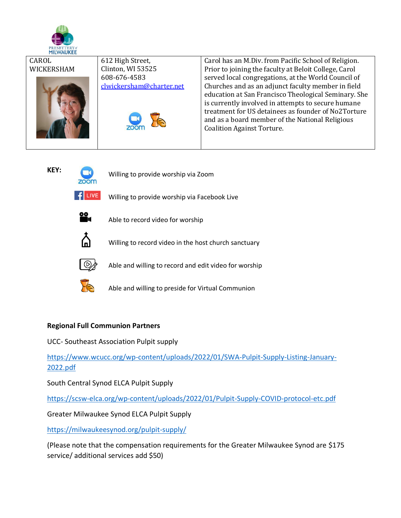

| CAROL      | 612 High Street,         | Carol has an M.Div. from Pacific School of Religion.  |
|------------|--------------------------|-------------------------------------------------------|
| WICKERSHAM | Clinton, WI 53525        | Prior to joining the faculty at Beloit College, Carol |
|            | 608-676-4583             | served local congregations, at the World Council of   |
|            | clwickersham@charter.net | Churches and as an adjunct faculty member in field    |
|            |                          | education at San Francisco Theological Seminary. She  |
|            |                          | is currently involved in attempts to secure humane    |
|            |                          | treatment for US detainees as founder of No2Torture   |
|            |                          | and as a board member of the National Religious       |
|            |                          | <b>Coalition Against Torture.</b>                     |
|            |                          |                                                       |
|            |                          |                                                       |

**KEY:**

Willing to provide worship via Zoom



Willing to provide worship via Facebook Live



Able to record video for worship



Willing to record video in the host church sanctuary



Able and willing to record and edit video for worship



Able and willing to preside for Virtual Communion

## **Regional Full Communion Partners**

UCC- Southeast Association Pulpit supply

[https://www.wcucc.org/wp-content/uploads/2022/01/SWA-Pulpit-Supply-Listing-January-](https://www.wcucc.org/wp-content/uploads/2022/01/SWA-Pulpit-Supply-Listing-January-2022.pdf)[2022.pdf](https://www.wcucc.org/wp-content/uploads/2022/01/SWA-Pulpit-Supply-Listing-January-2022.pdf)

South Central Synod ELCA Pulpit Supply

<https://scsw-elca.org/wp-content/uploads/2022/01/Pulpit-Supply-COVID-protocol-etc.pdf>

Greater Milwaukee Synod ELCA Pulpit Supply

<https://milwaukeesynod.org/pulpit-supply/>

(Please note that the compensation requirements for the Greater Milwaukee Synod are \$175 service/ additional services add \$50)